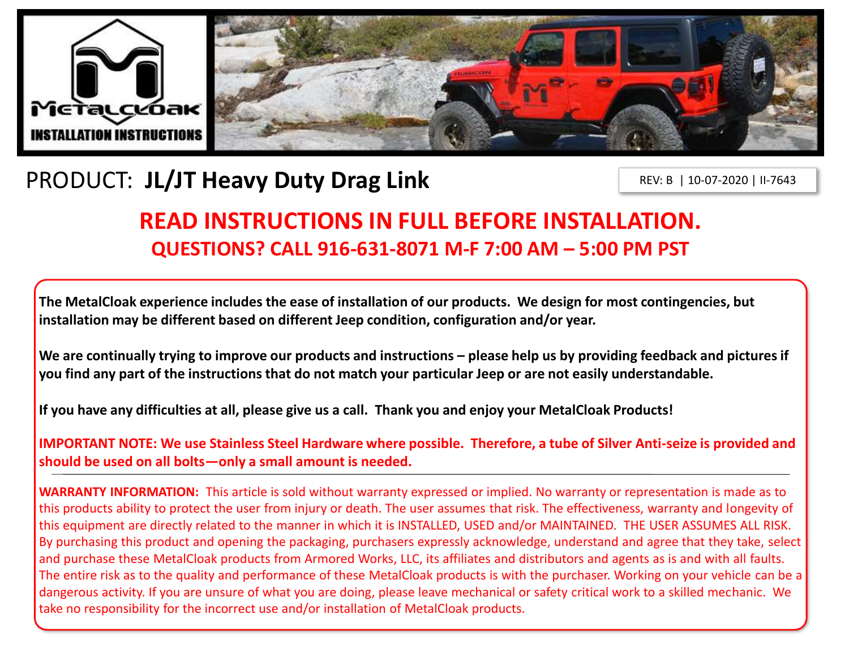

# PRODUCT: **JL/JT Heavy Duty Drag Link**

REV: B | 10-07-2020 | II-7643

## **READ INSTRUCTIONS IN FULL BEFORE INSTALLATION. QUESTIONS? CALL 916-631-8071 M-F 7:00 AM – 5:00 PM PST**

**The MetalCloak experience includes the ease of installation of our products. We design for most contingencies, but installation may be different based on different Jeep condition, configuration and/or year.**

We are continually trying to improve our products and instructions – please help us by providing feedback and pictures if **you find any part of the instructions that do not match your particular Jeep or are not easily understandable.** 

**If you have any difficulties at all, please give us a call. Thank you and enjoy your MetalCloak Products!** 

**IMPORTANT NOTE: We use Stainless Steel Hardware where possible. Therefore, a tube of Silver Anti-seize is provided and should be used on all bolts—only a small amount is needed.**

**WARRANTY INFORMATION:** This article is sold without warranty expressed or implied. No warranty or representation is made as to this products ability to protect the user from injury or death. The user assumes that risk. The effectiveness, warranty and longevity of this equipment are directly related to the manner in which it is INSTALLED, USED and/or MAINTAINED. THE USER ASSUMES ALL RISK. By purchasing this product and opening the packaging, purchasers expressly acknowledge, understand and agree that they take, select and purchase these MetalCloak products from Armored Works, LLC, its affiliates and distributors and agents as is and with all faults. The entire risk as to the quality and performance of these MetalCloak products is with the purchaser. Working on your vehicle can be a dangerous activity. If you are unsure of what you are doing, please leave mechanical or safety critical work to a skilled mechanic. We take no responsibility for the incorrect use and/or installation of MetalCloak products.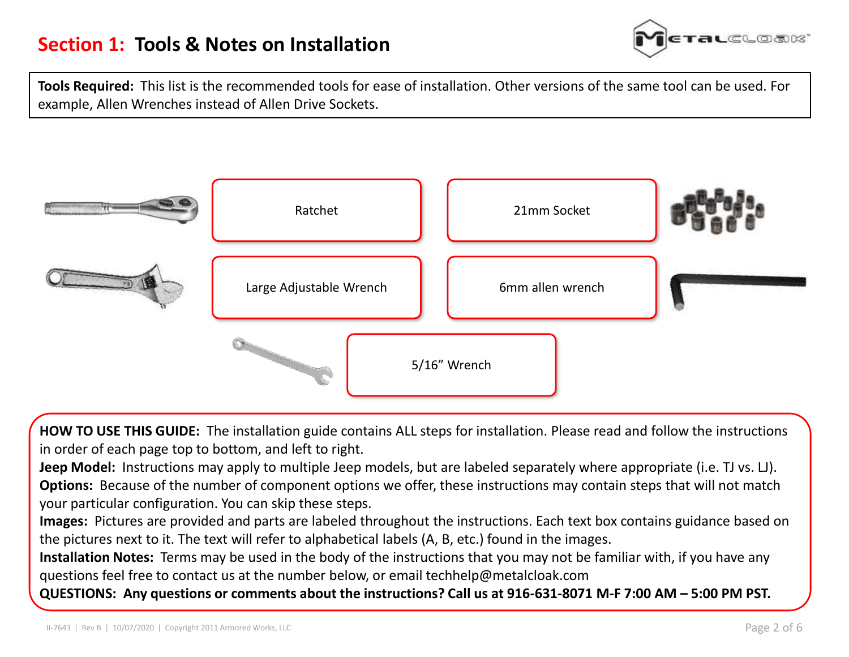

**Tools Required:** This list is the recommended tools for ease of installation. Other versions of the same tool can be used. For example, Allen Wrenches instead of Allen Drive Sockets.



**HOW TO USE THIS GUIDE:** The installation guide contains ALL steps for installation. Please read and follow the instructions in order of each page top to bottom, and left to right.

**Jeep Model:** Instructions may apply to multiple Jeep models, but are labeled separately where appropriate (i.e. TJ vs. LJ). **Options:** Because of the number of component options we offer, these instructions may contain steps that will not match your particular configuration. You can skip these steps.

**Images:** Pictures are provided and parts are labeled throughout the instructions. Each text box contains guidance based on the pictures next to it. The text will refer to alphabetical labels (A, B, etc.) found in the images.

**Installation Notes:** Terms may be used in the body of the instructions that you may not be familiar with, if you have any questions feel free to contact us at the number below, or email techhelp@metalcloak.com

**QUESTIONS: Any questions or comments about the instructions? Call us at 916-631-8071 M-F 7:00 AM – 5:00 PM PST.**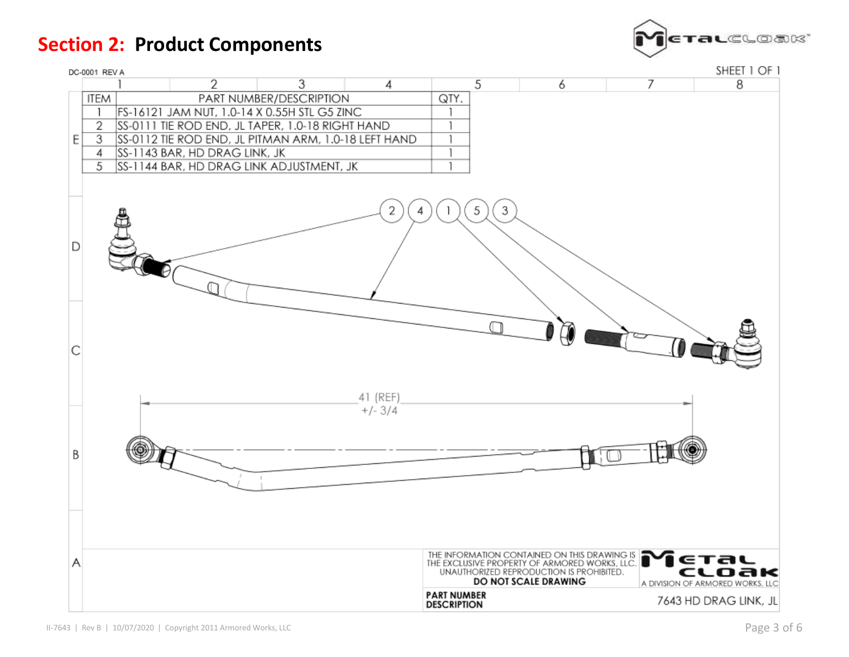**Section 2: Product Components**



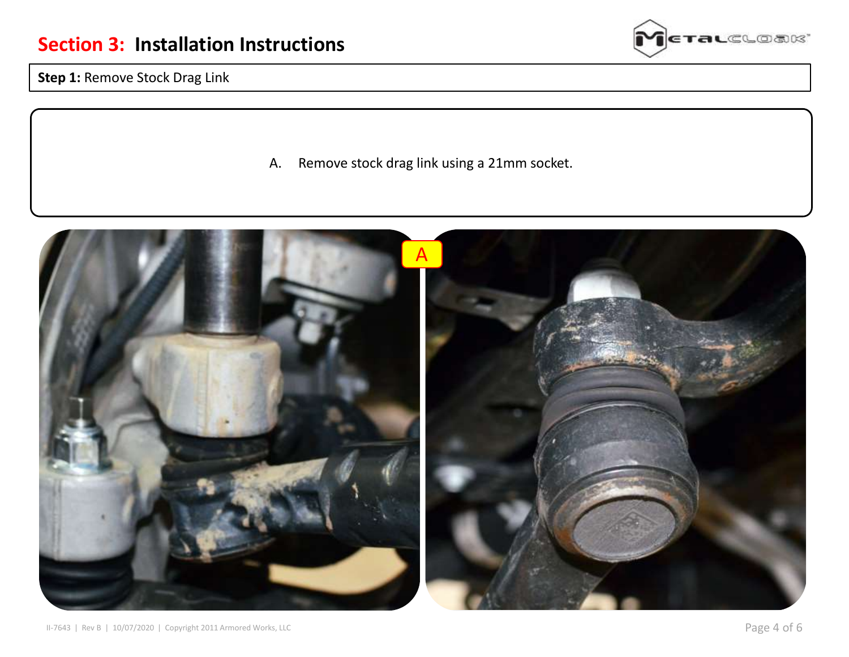

**Step 1:** Remove Stock Drag Link

A. Remove stock drag link using a 21mm socket.

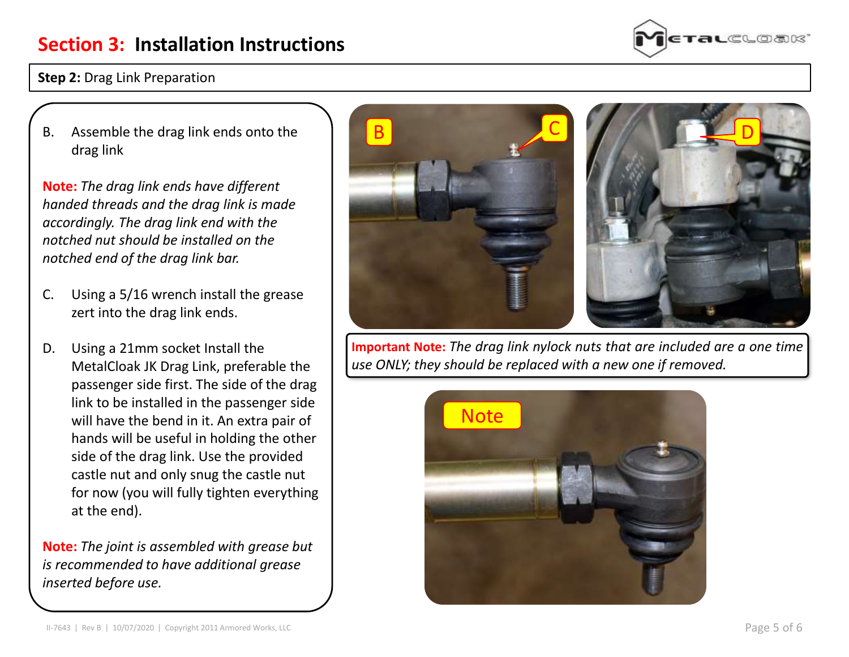#### **Step 2: Drag Link Preparation**

B. Assemble the drag link ends onto the drag link

**Note:** *The drag link ends have different handed threads and the drag link is made accordingly. The drag link end with the notched nut should be installed on the notched end of the drag link bar.*

- C. Using a 5/16 wrench install the grease zert into the drag link ends.
- D. Using a 21mm socket Install the MetalCloak JK Drag Link, preferable the passenger side first. The side of the drag link to be installed in the passenger side will have the bend in it. An extra pair of hands will be useful in holding the other side of the drag link. Use the provided castle nut and only snug the castle nut for now (you will fully tighten everything at the end).

**Note:** *The joint is assembled with grease but is recommended to have additional grease inserted before use.*



B C





D